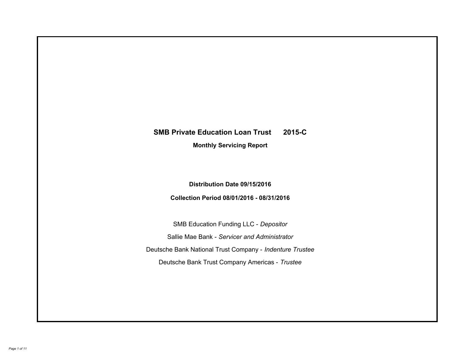# **SMB Private Education Loan Trust 2015-C Monthly Servicing Report**

## **Distribution Date 09/15/2016**

## **Collection Period 08/01/2016 - 08/31/2016**

SMB Education Funding LLC - *Depositor* Sallie Mae Bank - *Servicer and Administrator* Deutsche Bank National Trust Company - *Indenture Trustee* Deutsche Bank Trust Company Americas - *Trustee*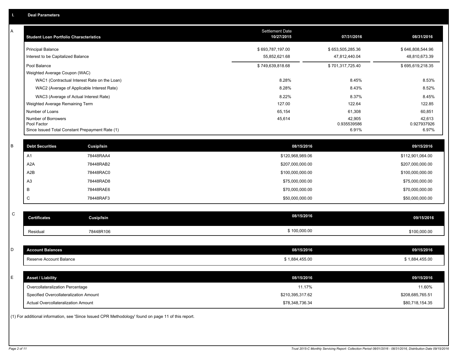| Α           | <b>Student Loan Portfolio Characteristics</b>                  |                                                                                                     | <b>Settlement Date</b><br>10/27/2015 | 07/31/2016                        | 08/31/2016                        |
|-------------|----------------------------------------------------------------|-----------------------------------------------------------------------------------------------------|--------------------------------------|-----------------------------------|-----------------------------------|
|             | <b>Principal Balance</b><br>Interest to be Capitalized Balance |                                                                                                     | \$693,787,197.00<br>55,852,621.68    | \$653,505,285.36<br>47,812,440.04 | \$646,808,544.96<br>48,810,673.39 |
|             | Pool Balance                                                   |                                                                                                     | \$749,639,818.68                     | \$701,317,725.40                  | \$695,619,218.35                  |
|             | Weighted Average Coupon (WAC)                                  |                                                                                                     |                                      |                                   |                                   |
|             |                                                                | WAC1 (Contractual Interest Rate on the Loan)                                                        | 8.28%                                | 8.45%                             | 8.53%                             |
|             |                                                                | WAC2 (Average of Applicable Interest Rate)                                                          | 8.28%                                | 8.43%                             | 8.52%                             |
|             |                                                                | WAC3 (Average of Actual Interest Rate)                                                              | 8.22%                                | 8.37%                             | 8.45%                             |
|             | Weighted Average Remaining Term                                |                                                                                                     | 127.00                               | 122.64                            | 122.85                            |
|             | Number of Loans                                                |                                                                                                     | 65,154                               | 61,308                            | 60,851                            |
|             | Number of Borrowers<br>Pool Factor                             | Since Issued Total Constant Prepayment Rate (1)                                                     | 45,614                               | 42,905<br>0.935539586<br>6.91%    | 42,613<br>0.927937926<br>6.97%    |
|             |                                                                |                                                                                                     |                                      |                                   |                                   |
| B           | <b>Debt Securities</b>                                         | Cusip/Isin                                                                                          | 08/15/2016                           |                                   | 09/15/2016                        |
|             | A <sub>1</sub>                                                 | 78448RAA4                                                                                           | \$120,968,989.06                     |                                   | \$112,901,064.00                  |
|             | A <sub>2</sub> A                                               | 78448RAB2                                                                                           | \$207,000,000.00                     |                                   | \$207,000,000.00                  |
|             | A2B                                                            | 78448RAC0                                                                                           | \$100,000,000.00                     |                                   | \$100,000,000.00                  |
|             | A <sub>3</sub>                                                 | 78448RAD8                                                                                           | \$75,000,000.00                      |                                   | \$75,000,000.00                   |
|             | B                                                              | 78448RAE6                                                                                           | \$70,000,000.00                      |                                   | \$70,000,000.00                   |
|             | C                                                              | 78448RAF3                                                                                           | \$50,000,000.00                      |                                   | \$50,000,000.00                   |
| $\mathsf C$ |                                                                |                                                                                                     | 08/15/2016                           |                                   |                                   |
|             | <b>Certificates</b>                                            | Cusip/Isin                                                                                          |                                      |                                   | 09/15/2016                        |
|             | Residual                                                       | 78448R106                                                                                           | \$100,000.00                         |                                   | \$100,000.00                      |
|             |                                                                |                                                                                                     |                                      |                                   |                                   |
| D           | <b>Account Balances</b>                                        |                                                                                                     | 08/15/2016                           |                                   | 09/15/2016                        |
|             | Reserve Account Balance                                        |                                                                                                     | \$1,884,455.00                       |                                   | \$1,884,455.00                    |
| E           | <b>Asset / Liability</b>                                       |                                                                                                     | 08/15/2016                           |                                   | 09/15/2016                        |
|             | Overcollateralization Percentage                               |                                                                                                     | 11.17%                               |                                   | 11.60%                            |
|             | Specified Overcollateralization Amount                         |                                                                                                     | \$210,395,317.62                     |                                   | \$208,685,765.51                  |
|             | Actual Overcollateralization Amount                            |                                                                                                     | \$78,348,736.34                      |                                   | \$80,718,154.35                   |
|             |                                                                | (1) For additional information, see 'Since Issued CPR Methodology' found on page 11 of this report. |                                      |                                   |                                   |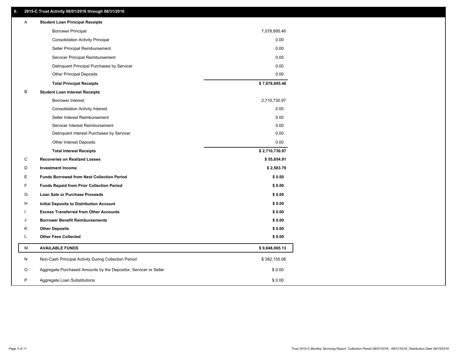### **II. 2015-C Trust Activity 08/01/2016 through 08/31/2016**

| Α | <b>Student Loan Principal Receipts</b>                           |                |  |
|---|------------------------------------------------------------------|----------------|--|
|   | <b>Borrower Principal</b>                                        | 7,078,895.46   |  |
|   | <b>Consolidation Activity Principal</b>                          | 0.00           |  |
|   | Seller Principal Reimbursement                                   | 0.00           |  |
|   | Servicer Principal Reimbursement                                 | 0.00           |  |
|   | Delinquent Principal Purchases by Servicer                       | 0.00           |  |
|   | <b>Other Principal Deposits</b>                                  | 0.00           |  |
|   | <b>Total Principal Receipts</b>                                  | \$7,078,895.46 |  |
| B | <b>Student Loan Interest Receipts</b>                            |                |  |
|   | <b>Borrower Interest</b>                                         | 2,710,730.97   |  |
|   | <b>Consolidation Activity Interest</b>                           | 0.00           |  |
|   | Seller Interest Reimbursement                                    | 0.00           |  |
|   | Servicer Interest Reimbursement                                  | 0.00           |  |
|   | Delinquent Interest Purchases by Servicer                        | 0.00           |  |
|   | Other Interest Deposits                                          | 0.00           |  |
|   | <b>Total Interest Receipts</b>                                   | \$2,710,730.97 |  |
| C | <b>Recoveries on Realized Losses</b>                             | \$55,854.91    |  |
| D | <b>Investment Income</b>                                         | \$2,583.79     |  |
| Е | <b>Funds Borrowed from Next Collection Period</b>                | \$0.00         |  |
| F | <b>Funds Repaid from Prior Collection Period</b>                 | \$0.00         |  |
| G | Loan Sale or Purchase Proceeds                                   | \$0.00         |  |
| н | Initial Deposits to Distribution Account                         | \$0.00         |  |
|   | <b>Excess Transferred from Other Accounts</b>                    | \$0.00         |  |
| J | <b>Borrower Benefit Reimbursements</b>                           | \$0.00         |  |
| Κ | <b>Other Deposits</b>                                            | \$0.00         |  |
| Г | <b>Other Fees Collected</b>                                      | \$0.00         |  |
| М | <b>AVAILABLE FUNDS</b>                                           | \$9,848,065.13 |  |
| N | Non-Cash Principal Activity During Collection Period             | \$382,155.06   |  |
| O | Aggregate Purchased Amounts by the Depositor, Servicer or Seller | \$0.00         |  |
| P | Aggregate Loan Substitutions                                     | \$0.00         |  |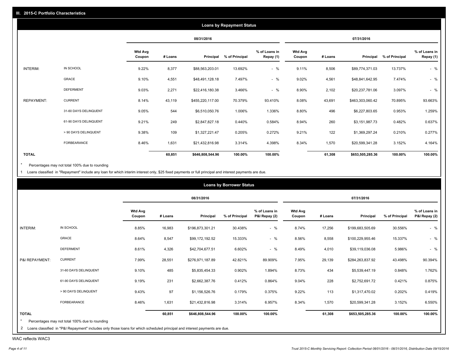|                   |                       |                          |         |                  | <b>Loans by Repayment Status</b> |                            |                          |         |                  |                |                            |
|-------------------|-----------------------|--------------------------|---------|------------------|----------------------------------|----------------------------|--------------------------|---------|------------------|----------------|----------------------------|
|                   |                       |                          |         | 08/31/2016       |                                  |                            |                          |         | 07/31/2016       |                |                            |
|                   |                       | <b>Wtd Avg</b><br>Coupon | # Loans | Principal        | % of Principal                   | % of Loans in<br>Repay (1) | <b>Wtd Avg</b><br>Coupon | # Loans | Principal        | % of Principal | % of Loans in<br>Repay (1) |
| INTERIM:          | IN SCHOOL             | 9.22%                    | 8,377   | \$88,563,203.01  | 13.692%                          | $-$ %                      | 9.11%                    | 8,506   | \$89,774,371.03  | 13.737%        | $-$ %                      |
|                   | GRACE                 | 9.10%                    | 4,551   | \$48,491,128.18  | 7.497%                           | $-$ %                      | 9.02%                    | 4,561   | \$48,841,642.95  | 7.474%         | $-$ %                      |
|                   | <b>DEFERMENT</b>      | 9.03%                    | 2,271   | \$22,416,180.38  | 3.466%                           | $-$ %                      | 8.90%                    | 2,102   | \$20,237,781.06  | 3.097%         | $-$ %                      |
| <b>REPAYMENT:</b> | <b>CURRENT</b>        | 8.14%                    | 43,119  | \$455,220,117.00 | 70.379%                          | 93.410%                    | 8.08%                    | 43,691  | \$463,303,060.42 | 70.895%        | 93.663%                    |
|                   | 31-60 DAYS DELINQUENT | 9.05%                    | 544     | \$6,510,050.76   | 1.006%                           | 1.336%                     | 8.80%                    | 496     | \$6,227,803.65   | 0.953%         | 1.259%                     |
|                   | 61-90 DAYS DELINQUENT | 9.21%                    | 249     | \$2,847,827.18   | 0.440%                           | 0.584%                     | 8.94%                    | 260     | \$3,151,987.73   | 0.482%         | 0.637%                     |
|                   | > 90 DAYS DELINQUENT  | 9.38%                    | 109     | \$1,327,221.47   | 0.205%                           | 0.272%                     | 9.21%                    | 122     | \$1,369,297.24   | 0.210%         | 0.277%                     |
|                   | <b>FORBEARANCE</b>    | 8.46%                    | 1,631   | \$21,432,816.98  | 3.314%                           | 4.398%                     | 8.34%                    | 1,570   | \$20,599,341.28  | 3.152%         | 4.164%                     |
| <b>TOTAL</b>      |                       |                          | 60,851  | \$646,808,544.96 | 100.00%                          | 100.00%                    |                          | 61,308  | \$653,505,285.36 | 100.00%        | 100.00%                    |

Percentages may not total 100% due to rounding  $^\star$ 

1 Loans classified in "Repayment" include any loan for which interim interest only, \$25 fixed payments or full principal and interest payments are due.

| 08/31/2016<br>07/31/2016<br><b>Wtd Avg</b><br>% of Loans in<br><b>Wtd Avg</b><br>% of Principal<br>% of Principal<br># Loans<br>Principal<br>P&I Repay (2)<br>Principal<br>P&I Repay (2)<br>Coupon<br># Loans<br>Coupon<br>IN SCHOOL<br>$-$ %<br>$-$ %<br>8.85%<br>16,983<br>8.74%<br>\$196,873,301.21<br>30.438%<br>17,256<br>30.556%<br>\$199,683,505.69<br>GRACE<br>$-$ %<br>$-$ %<br>8.64%<br>8,547<br>15.333%<br>8.56%<br>15.337%<br>\$99,172,192.52<br>8,558<br>\$100,229,955.46<br>$-$ %<br><b>DEFERMENT</b><br>4,326<br>$-$ %<br>8.49%<br>8.61%<br>6.602%<br>5.986%<br>\$42,704,677.51<br>4,010<br>\$39,119,036.08<br><b>CURRENT</b><br>7.99%<br>28,551<br>42.821%<br>89.909%<br>7.95%<br>29,139<br>43.498%<br>90.394%<br>\$276,971,187.89<br>\$284,263,837.92<br>31-60 DAYS DELINQUENT<br>9.10%<br>485<br>0.902%<br>434<br>1.762%<br>1.894%<br>8.73%<br>\$5,539,447.19<br>0.848%<br>\$5,835,454.33<br>231<br>228<br>61-90 DAYS DELINQUENT<br>9.19%<br>0.875%<br>0.412%<br>0.864%<br>9.04%<br>0.421%<br>\$2,662,387.76<br>\$2,752,691.72<br>97<br>9.22%<br>> 90 DAYS DELINQUENT<br>9.43%<br>0.179%<br>0.375%<br>113<br>0.202%<br>\$1,156,526.76<br>\$1,317,470.02<br>FORBEARANCE<br>8.46%<br>1,631<br>3.314%<br>6.957%<br>8.34%<br>3.152%<br>6.550%<br>\$21,432,816.98<br>1,570<br>\$20,599,341.28<br>100.00%<br>60,851<br>100.00%<br>100.00%<br>100.00%<br>\$646,808,544.96<br>61,308<br>\$653,505,285.36<br>Percentages may not total 100% due to rounding |                |  |  | <b>Loans by Borrower Status</b> |  |  |  |
|----------------------------------------------------------------------------------------------------------------------------------------------------------------------------------------------------------------------------------------------------------------------------------------------------------------------------------------------------------------------------------------------------------------------------------------------------------------------------------------------------------------------------------------------------------------------------------------------------------------------------------------------------------------------------------------------------------------------------------------------------------------------------------------------------------------------------------------------------------------------------------------------------------------------------------------------------------------------------------------------------------------------------------------------------------------------------------------------------------------------------------------------------------------------------------------------------------------------------------------------------------------------------------------------------------------------------------------------------------------------------------------------------------------------------------------------------------------------|----------------|--|--|---------------------------------|--|--|--|
| % of Loans in<br>0.419%                                                                                                                                                                                                                                                                                                                                                                                                                                                                                                                                                                                                                                                                                                                                                                                                                                                                                                                                                                                                                                                                                                                                                                                                                                                                                                                                                                                                                                              |                |  |  |                                 |  |  |  |
|                                                                                                                                                                                                                                                                                                                                                                                                                                                                                                                                                                                                                                                                                                                                                                                                                                                                                                                                                                                                                                                                                                                                                                                                                                                                                                                                                                                                                                                                      |                |  |  |                                 |  |  |  |
|                                                                                                                                                                                                                                                                                                                                                                                                                                                                                                                                                                                                                                                                                                                                                                                                                                                                                                                                                                                                                                                                                                                                                                                                                                                                                                                                                                                                                                                                      | INTERIM:       |  |  |                                 |  |  |  |
|                                                                                                                                                                                                                                                                                                                                                                                                                                                                                                                                                                                                                                                                                                                                                                                                                                                                                                                                                                                                                                                                                                                                                                                                                                                                                                                                                                                                                                                                      |                |  |  |                                 |  |  |  |
|                                                                                                                                                                                                                                                                                                                                                                                                                                                                                                                                                                                                                                                                                                                                                                                                                                                                                                                                                                                                                                                                                                                                                                                                                                                                                                                                                                                                                                                                      |                |  |  |                                 |  |  |  |
|                                                                                                                                                                                                                                                                                                                                                                                                                                                                                                                                                                                                                                                                                                                                                                                                                                                                                                                                                                                                                                                                                                                                                                                                                                                                                                                                                                                                                                                                      | P&I REPAYMENT: |  |  |                                 |  |  |  |
|                                                                                                                                                                                                                                                                                                                                                                                                                                                                                                                                                                                                                                                                                                                                                                                                                                                                                                                                                                                                                                                                                                                                                                                                                                                                                                                                                                                                                                                                      |                |  |  |                                 |  |  |  |
|                                                                                                                                                                                                                                                                                                                                                                                                                                                                                                                                                                                                                                                                                                                                                                                                                                                                                                                                                                                                                                                                                                                                                                                                                                                                                                                                                                                                                                                                      |                |  |  |                                 |  |  |  |
|                                                                                                                                                                                                                                                                                                                                                                                                                                                                                                                                                                                                                                                                                                                                                                                                                                                                                                                                                                                                                                                                                                                                                                                                                                                                                                                                                                                                                                                                      |                |  |  |                                 |  |  |  |
|                                                                                                                                                                                                                                                                                                                                                                                                                                                                                                                                                                                                                                                                                                                                                                                                                                                                                                                                                                                                                                                                                                                                                                                                                                                                                                                                                                                                                                                                      |                |  |  |                                 |  |  |  |
|                                                                                                                                                                                                                                                                                                                                                                                                                                                                                                                                                                                                                                                                                                                                                                                                                                                                                                                                                                                                                                                                                                                                                                                                                                                                                                                                                                                                                                                                      | <b>TOTAL</b>   |  |  |                                 |  |  |  |
| 2 Loans classified in "P&I Repayment" includes only those loans for which scheduled principal and interest payments are due.                                                                                                                                                                                                                                                                                                                                                                                                                                                                                                                                                                                                                                                                                                                                                                                                                                                                                                                                                                                                                                                                                                                                                                                                                                                                                                                                         |                |  |  |                                 |  |  |  |

WAC reflects WAC3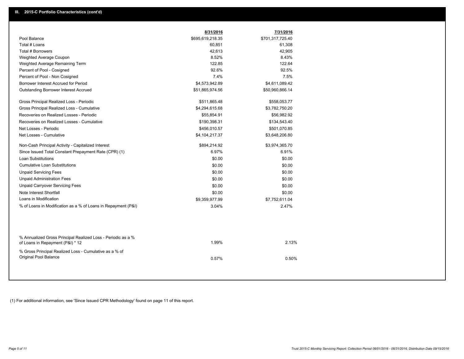|                                                                                                  | 8/31/2016        | 7/31/2016        |
|--------------------------------------------------------------------------------------------------|------------------|------------------|
| Pool Balance                                                                                     | \$695,619,218.35 | \$701,317,725.40 |
| Total # Loans                                                                                    | 60,851           | 61,308           |
| <b>Total # Borrowers</b>                                                                         | 42,613           | 42,905           |
| Weighted Average Coupon                                                                          | 8.52%            | 8.43%            |
| Weighted Average Remaining Term                                                                  | 122.85           | 122.64           |
| Percent of Pool - Cosigned                                                                       | 92.6%            | 92.5%            |
| Percent of Pool - Non Cosigned                                                                   | 7.4%             | 7.5%             |
| Borrower Interest Accrued for Period                                                             | \$4,573,942.89   | \$4,611,089.42   |
| <b>Outstanding Borrower Interest Accrued</b>                                                     | \$51,865,974.56  | \$50,960,866.14  |
| Gross Principal Realized Loss - Periodic                                                         | \$511,865.48     | \$558,053.77     |
| Gross Principal Realized Loss - Cumulative                                                       | \$4,294,615.68   | \$3,782,750.20   |
| Recoveries on Realized Losses - Periodic                                                         | \$55,854.91      | \$56,982.92      |
| Recoveries on Realized Losses - Cumulative                                                       | \$190,398.31     | \$134,543.40     |
| Net Losses - Periodic                                                                            | \$456,010.57     | \$501,070.85     |
| Net Losses - Cumulative                                                                          | \$4,104,217.37   | \$3,648,206.80   |
| Non-Cash Principal Activity - Capitalized Interest                                               | \$894,214.92     | \$3,974,365.70   |
| Since Issued Total Constant Prepayment Rate (CPR) (1)                                            | 6.97%            | 6.91%            |
| <b>Loan Substitutions</b>                                                                        | \$0.00           | \$0.00           |
| <b>Cumulative Loan Substitutions</b>                                                             | \$0.00           | \$0.00           |
| <b>Unpaid Servicing Fees</b>                                                                     | \$0.00           | \$0.00           |
| <b>Unpaid Administration Fees</b>                                                                | \$0.00           | \$0.00           |
| <b>Unpaid Carryover Servicing Fees</b>                                                           | \$0.00           | \$0.00           |
| Note Interest Shortfall                                                                          | \$0.00           | \$0.00           |
| Loans in Modification                                                                            | \$9,359,977.99   | \$7,752,611.04   |
| % of Loans in Modification as a % of Loans in Repayment (P&I)                                    | 3.04%            | 2.47%            |
|                                                                                                  |                  |                  |
| % Annualized Gross Principal Realized Loss - Periodic as a %<br>of Loans in Repayment (P&I) * 12 | 1.99%            | 2.13%            |
| % Gross Principal Realized Loss - Cumulative as a % of<br>Original Pool Balance                  | 0.57%            | 0.50%            |

(1) For additional information, see 'Since Issued CPR Methodology' found on page 11 of this report.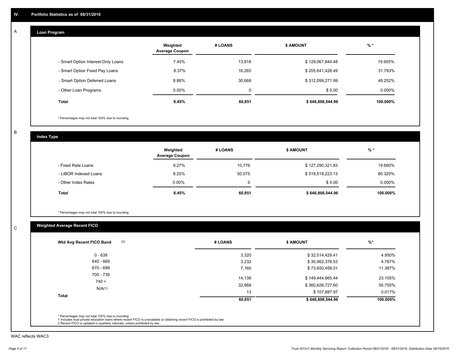#### **Loan Program**  A

|                                    | Weighted<br><b>Average Coupon</b> | # LOANS | <b>\$ AMOUNT</b> | $%$ *     |
|------------------------------------|-----------------------------------|---------|------------------|-----------|
| - Smart Option Interest-Only Loans | 7.45%                             | 13.918  | \$129,067,844.48 | 19.955%   |
| - Smart Option Fixed Pay Loans     | 8.37%                             | 16,265  | \$205,641,428.49 | 31.793%   |
| - Smart Option Deferred Loans      | 8.88%                             | 30.668  | \$312,099,271.99 | 48.252%   |
| - Other Loan Programs              | $0.00\%$                          | 0       | \$0.00           | $0.000\%$ |
| <b>Total</b>                       | 8.45%                             | 60,851  | \$646,808,544.96 | 100.000%  |

\* Percentages may not total 100% due to rounding

B

C

**Index Type**

|                       | Weighted<br><b>Average Coupon</b> | # LOANS  | <b>\$ AMOUNT</b> | $%$ *     |
|-----------------------|-----------------------------------|----------|------------------|-----------|
| - Fixed Rate Loans    | 9.27%                             | 10.776   | \$127,290,321.83 | 19.680%   |
| - LIBOR Indexed Loans | 8.25%                             | 50.075   | \$519,518,223.13 | 80.320%   |
| - Other Index Rates   | $0.00\%$                          | $\Omega$ | \$0.00           | $0.000\%$ |
| Total                 | 8.45%                             | 60,851   | \$646,808,544.96 | 100.000%  |

\* Percentages may not total 100% due to rounding

## **Weighted Average Recent FICO**

| (2)<br>Wtd Avg Recent FICO Band | # LOANS | <b>\$ AMOUNT</b> | $%$ *    |
|---------------------------------|---------|------------------|----------|
| $0 - 639$                       | 3,320   | \$32,014,429.41  | 4.950%   |
| 640 - 669                       | 3,232   | \$30,962,376.53  | 4.787%   |
| 670 - 699                       | 7,160   | \$73,650,458.01  | 11.387%  |
| 700 - 739<br>$740 +$            | 14,138  | \$149,444,665.44 | 23.105%  |
| N/A(1)                          | 32,988  | \$360,628,727.60 | 55.755%  |
|                                 | 13      | \$107,887.97     | 0.017%   |
| <b>Total</b>                    | 60,851  | \$646,808,544.96 | 100.000% |

WAC reflects WAC3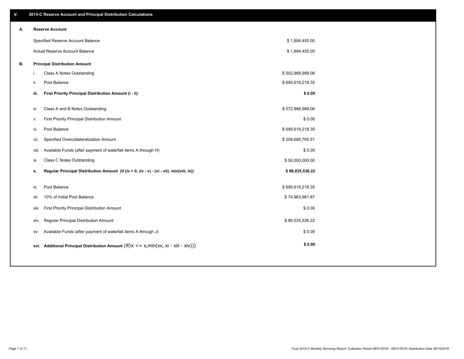| ۷. |    | 2015-C Reserve Account and Principal Distribution Calculations                                 |                  |  |
|----|----|------------------------------------------------------------------------------------------------|------------------|--|
| А. |    | <b>Reserve Account</b>                                                                         |                  |  |
|    |    | Specified Reserve Account Balance                                                              | \$1,884,455.00   |  |
|    |    | Actual Reserve Account Balance                                                                 | \$1,884,455.00   |  |
| В. |    | <b>Principal Distribution Amount</b>                                                           |                  |  |
|    | j. | Class A Notes Outstanding                                                                      | \$502,968,989.06 |  |
|    |    | Pool Balance<br>ii.                                                                            | \$695,619,218.35 |  |
|    |    | First Priority Principal Distribution Amount (i - ii)<br>iii.                                  | \$0.00           |  |
|    |    |                                                                                                |                  |  |
|    |    | Class A and B Notes Outstanding<br>iv.                                                         | \$572,968,989.06 |  |
|    |    | First Priority Principal Distribution Amount<br>v.                                             | \$0.00           |  |
|    |    | Pool Balance<br>vi.                                                                            | \$695,619,218.35 |  |
|    |    | Specified Overcollateralization Amount<br>vii.                                                 | \$208,685,765.51 |  |
|    |    | Available Funds (after payment of waterfall items A through H)<br>viii.                        | \$0.00           |  |
|    |    | <b>Class C Notes Outstanding</b><br>ix.                                                        | \$50,000,000.00  |  |
|    |    | Regular Principal Distribution Amount (if (iv > 0, (iv - v) - (vi - vii), min(viii, ix))<br>х. | \$86,035,536.22  |  |
|    |    |                                                                                                |                  |  |
|    |    | Pool Balance<br>xi.                                                                            | \$695,619,218.35 |  |
|    |    | 10% of Initial Pool Balance<br>xii.                                                            | \$74,963,981.87  |  |
|    |    | First Priority Principal Distribution Amount<br>xiii.                                          | \$0.00           |  |
|    |    | Regular Principal Distribution Amount<br>xiv.                                                  | \$86,035,536.22  |  |
|    |    | Available Funds (after payment of waterfall items A through J)<br>XV.                          | \$0.00           |  |
|    |    | xvi. Additional Principal Distribution Amount (if(ix $\lt$ = x, min(xv, xi - xiii - xiv)))     | \$0.00           |  |
|    |    |                                                                                                |                  |  |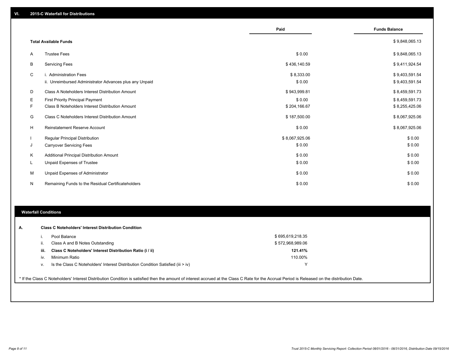|    |                                                                                   | Paid                 | <b>Funds Balance</b>             |
|----|-----------------------------------------------------------------------------------|----------------------|----------------------------------|
|    | <b>Total Available Funds</b>                                                      |                      | \$9,848,065.13                   |
| A  | <b>Trustee Fees</b>                                                               | \$0.00               | \$9,848,065.13                   |
| B  | <b>Servicing Fees</b>                                                             | \$436,140.59         | \$9,411,924.54                   |
| C  | i. Administration Fees<br>ii. Unreimbursed Administrator Advances plus any Unpaid | \$8,333.00<br>\$0.00 | \$9,403,591.54<br>\$9,403,591.54 |
| D  | Class A Noteholders Interest Distribution Amount                                  | \$943,999.81         | \$8,459,591.73                   |
| Е  | First Priority Principal Payment                                                  | \$0.00               | \$8,459,591.73                   |
| F  | Class B Noteholders Interest Distribution Amount                                  | \$204,166.67         | \$8,255,425.06                   |
| G  | Class C Noteholders Interest Distribution Amount                                  | \$187,500.00         | \$8,067,925.06                   |
| H  | Reinstatement Reserve Account                                                     | \$0.00               | \$8,067,925.06                   |
|    | Regular Principal Distribution                                                    | \$8,067,925.06       | \$0.00                           |
| J  | <b>Carryover Servicing Fees</b>                                                   | \$0.00               | \$0.00                           |
| Κ  | Additional Principal Distribution Amount                                          | \$0.00               | \$0.00                           |
| L. | Unpaid Expenses of Trustee                                                        | \$0.00               | \$0.00                           |
| М  | Unpaid Expenses of Administrator                                                  | \$0.00               | \$0.00                           |
| N  | Remaining Funds to the Residual Certificateholders                                | \$0.00               | \$0.00                           |

#### **Waterfall Conditions**

| А. |      | <b>Class C Noteholders' Interest Distribution Condition</b>                      |                  |  |
|----|------|----------------------------------------------------------------------------------|------------------|--|
|    |      | Pool Balance                                                                     | \$695,619,218.35 |  |
|    | н.   | Class A and B Notes Outstanding                                                  | \$572,968,989.06 |  |
|    | iii. | Class C Noteholders' Interest Distribution Ratio (i / ii)                        | 121.41%          |  |
|    | IV.  | Minimum Ratio                                                                    | 110.00%          |  |
|    | V.   | Is the Class C Noteholders' Interest Distribution Condition Satisfied (iii > iv) | ν                |  |
|    |      |                                                                                  |                  |  |

\* If the Class C Noteholders' Interest Distribution Condition is satisfied then the amount of interest accrued at the Class C Rate for the Accrual Period is Released on the distribution Date.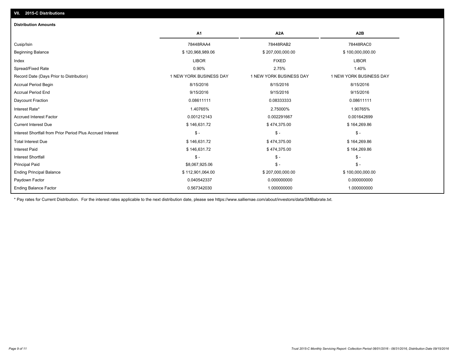| <b>Distribution Amounts</b>                                |                         |                         |                         |
|------------------------------------------------------------|-------------------------|-------------------------|-------------------------|
|                                                            | A <sub>1</sub>          | A <sub>2</sub> A        | A <sub>2</sub> B        |
| Cusip/Isin                                                 | 78448RAA4               | 78448RAB2               | 78448RAC0               |
| <b>Beginning Balance</b>                                   | \$120,968,989.06        | \$207,000,000.00        | \$100,000,000.00        |
| Index                                                      | <b>LIBOR</b>            | <b>FIXED</b>            | <b>LIBOR</b>            |
| Spread/Fixed Rate                                          | 0.90%                   | 2.75%                   | 1.40%                   |
| Record Date (Days Prior to Distribution)                   | 1 NEW YORK BUSINESS DAY | 1 NEW YORK BUSINESS DAY | 1 NEW YORK BUSINESS DAY |
| Accrual Period Begin                                       | 8/15/2016               | 8/15/2016               | 8/15/2016               |
| <b>Accrual Period End</b>                                  | 9/15/2016               | 9/15/2016               | 9/15/2016               |
| Daycount Fraction                                          | 0.08611111              | 0.08333333              | 0.08611111              |
| Interest Rate*                                             | 1.40765%                | 2.75000%                | 1.90765%                |
| <b>Accrued Interest Factor</b>                             | 0.001212143             | 0.002291667             | 0.001642699             |
| <b>Current Interest Due</b>                                | \$146,631.72            | \$474,375.00            | \$164,269.86            |
| Interest Shortfall from Prior Period Plus Accrued Interest | $\mathsf{\$}$ -         | $\mathcal{S}$ -         | $\mathcal{S}$ -         |
| <b>Total Interest Due</b>                                  | \$146,631.72            | \$474,375.00            | \$164,269.86            |
| <b>Interest Paid</b>                                       | \$146,631.72            | \$474,375.00            | \$164,269.86            |
| <b>Interest Shortfall</b>                                  | $\mathsf{\$}$ -         | $\mathbb{S}$ -          | $\mathcal{S}$ -         |
| <b>Principal Paid</b>                                      | \$8,067,925.06          | $\mathcal{S}$ -         | $\mathcal{S}$ -         |
| <b>Ending Principal Balance</b>                            | \$112,901,064.00        | \$207,000,000.00        | \$100,000,000.00        |
| Paydown Factor                                             | 0.040542337             | 0.000000000             | 0.000000000             |
| <b>Ending Balance Factor</b>                               | 0.567342030             | 1.000000000             | 1.000000000             |

\* Pay rates for Current Distribution. For the interest rates applicable to the next distribution date, please see https://www.salliemae.com/about/investors/data/SMBabrate.txt.

**VII. 2015-C Distributions**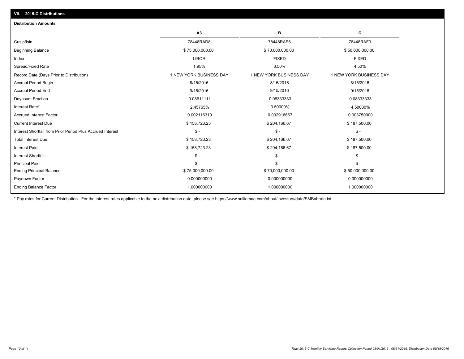| <b>Distribution Amounts</b>                                |                         |                         |                         |
|------------------------------------------------------------|-------------------------|-------------------------|-------------------------|
|                                                            | A3                      | в                       | с                       |
| Cusip/Isin                                                 | 78448RAD8               | 78448RAE6               | 78448RAF3               |
| <b>Beginning Balance</b>                                   | \$75,000,000.00         | \$70,000,000.00         | \$50,000,000.00         |
| Index                                                      | <b>LIBOR</b>            | <b>FIXED</b>            | <b>FIXED</b>            |
| Spread/Fixed Rate                                          | 1.95%                   | 3.50%                   | 4.50%                   |
| Record Date (Days Prior to Distribution)                   | 1 NEW YORK BUSINESS DAY | 1 NEW YORK BUSINESS DAY | 1 NEW YORK BUSINESS DAY |
| <b>Accrual Period Begin</b>                                | 8/15/2016               | 8/15/2016               | 8/15/2016               |
| <b>Accrual Period End</b>                                  | 9/15/2016               | 9/15/2016               | 9/15/2016               |
| Daycount Fraction                                          | 0.08611111              | 0.08333333              | 0.08333333              |
| Interest Rate*                                             | 2.45765%                | 3.50000%                | 4.50000%                |
| <b>Accrued Interest Factor</b>                             | 0.002116310             | 0.002916667             | 0.003750000             |
| <b>Current Interest Due</b>                                | \$158,723.23            | \$204,166.67            | \$187,500.00            |
| Interest Shortfall from Prior Period Plus Accrued Interest | $\mathsf{\$}$ -         | $\mathsf{\$}$ -         | $\frac{2}{3}$ -         |
| <b>Total Interest Due</b>                                  | \$158,723.23            | \$204,166.67            | \$187,500.00            |
| <b>Interest Paid</b>                                       | \$158,723.23            | \$204,166.67            | \$187,500.00            |
| <b>Interest Shortfall</b>                                  | $\mathsf{\$}$ -         | $\mathbb{S}$ -          | $S -$                   |
| <b>Principal Paid</b>                                      | $\mathsf{\$}$ -         | $\mathsf{\$}$ -         | $S -$                   |
| <b>Ending Principal Balance</b>                            | \$75,000,000.00         | \$70,000,000.00         | \$50,000,000.00         |
| Paydown Factor                                             | 0.000000000             | 0.000000000             | 0.000000000             |
| <b>Ending Balance Factor</b>                               | 1.000000000             | 1.000000000             | 1.000000000             |
|                                                            |                         |                         |                         |

\* Pay rates for Current Distribution. For the interest rates applicable to the next distribution date, please see https://www.salliemae.com/about/investors/data/SMBabrate.txt.

**VII. 2015-C Distributions**